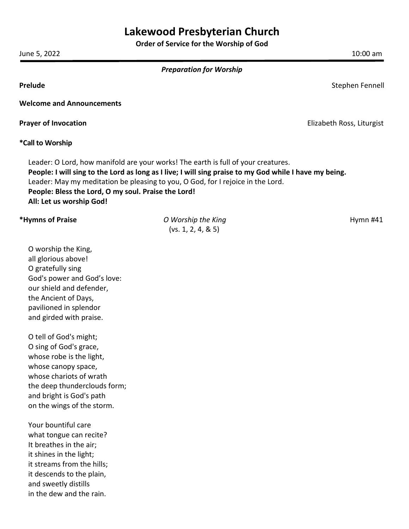# **Lakewood Presbyterian Church**

**Order of Service for the Worship of God**

June 5, 2022 10:00 am

|  |  |  |  | <b>Preparation for Worship</b> |
|--|--|--|--|--------------------------------|
|--|--|--|--|--------------------------------|

**Prelude** Stephen Fennell and Stephen Fennell and Stephen Fennell and Stephen Fennell and Stephen Fennell and Stephen Fennell and Stephen Fennell and Stephen Fennell and Stephen Fennell and Stephen Fennell and Stephen Fenn

**Welcome and Announcements**

**Prayer of Invocation Elizabeth Ross, Liturgist Prayer of Invocation Elizabeth Ross, Liturgist** 

**\*Call to Worship**

Leader: O Lord, how manifold are your works! The earth is full of your creatures. **People: I will sing to the Lord as long as I live; I will sing praise to my God while I have my being.** Leader: May my meditation be pleasing to you, O God, for I rejoice in the Lord. **People: Bless the Lord, O my soul. Praise the Lord! All: Let us worship God!**

## **\*Hymns of Praise** *O Worship the King* **<b>***Community Community Community Community Community Community Community Community Community Community Community Community Community Community Community Community Community Community* (vs. 1, 2, 4, & 5)

O worship the King, all glorious above! O gratefully sing God's power and God's love: our shield and defender, the Ancient of Days, pavilioned in splendor and girded with praise.

O tell of God's might; O sing of God's grace, whose robe is the light, whose canopy space, whose chariots of wrath the deep thunderclouds form; and bright is God's path on the wings of the storm.

Your bountiful care what tongue can recite? It breathes in the air; it shines in the light; it streams from the hills; it descends to the plain, and sweetly distills in the dew and the rain.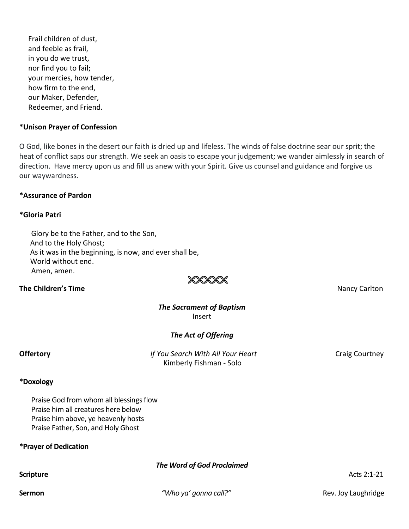Frail children of dust, and feeble as frail, in you do we trust, nor find you to fail; your mercies, how tender, how firm to the end, our Maker, Defender, Redeemer, and Friend.

#### **\*Unison Prayer of Confession**

O God, like bones in the desert our faith is dried up and lifeless. The winds of false doctrine sear our sprit; the heat of conflict saps our strength. We seek an oasis to escape your judgement; we wander aimlessly in search of direction. Have mercy upon us and fill us anew with your Spirit. Give us counsel and guidance and forgive us our waywardness.

#### **\*Assurance of Pardon**

#### **\*Gloria Patri**

Glory be to the Father, and to the Son, And to the Holy Ghost; As it was in the beginning, is now, and ever shall be, World without end. Amen, amen.

### **The Children's Time**  Nancy Carlton

# 2626262

#### *The Sacrament of Baptism* Insert

### *The Act of Offering*

**Offertory** *If You Search With All Your Heart* Craig Courtney Kimberly Fishman - Solo

## **\*Doxology**

Praise God from whom all blessings flow Praise him all creatures here below Praise him above, ye heavenly hosts Praise Father, Son, and Holy Ghost

# **\*Prayer of Dedication**

*The Word of God Proclaimed*

### **Scripture** Acts 2:1-21

**Sermon** *Particulary and a revenue to the value of value of value of value of value of value of value of value of value of value of value of value of value of value of value of value of value of value of value of value o*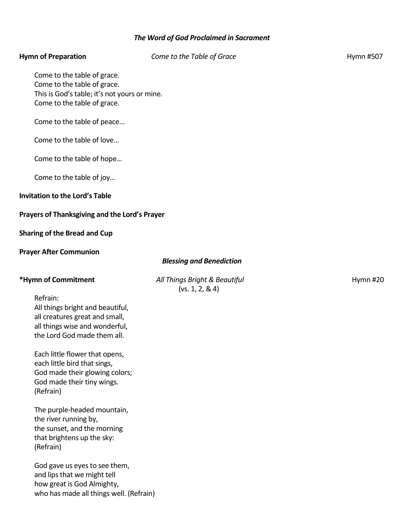# *The Word of God Proclaimed in Sacrament*

| <b>Hymn of Preparation</b>                                                                                                                      | Come to the Table of Grace                        | Hymn #507 |
|-------------------------------------------------------------------------------------------------------------------------------------------------|---------------------------------------------------|-----------|
| Come to the table of grace.<br>Come to the table of grace.<br>This is God's table; it's not yours or mine.<br>Come to the table of grace.       |                                                   |           |
| Come to the table of peace                                                                                                                      |                                                   |           |
| Come to the table of love                                                                                                                       |                                                   |           |
| Come to the table of hope                                                                                                                       |                                                   |           |
| Come to the table of joy                                                                                                                        |                                                   |           |
| <b>Invitation to the Lord's Table</b>                                                                                                           |                                                   |           |
| Prayers of Thanksgiving and the Lord's Prayer                                                                                                   |                                                   |           |
| <b>Sharing of the Bread and Cup</b>                                                                                                             |                                                   |           |
| <b>Prayer After Communion</b>                                                                                                                   |                                                   |           |
|                                                                                                                                                 |                                                   |           |
|                                                                                                                                                 | <b>Blessing and Benediction</b>                   |           |
| *Hymn of Commitment                                                                                                                             | All Things Bright & Beautiful<br>(vs. 1, 2, 8, 4) | Hymn #20  |
| Refrain:<br>All things bright and beautiful,<br>all creatures great and small,<br>all things wise and wonderful,<br>the Lord God made them all. |                                                   |           |
| Each little flower that opens,<br>each little bird that sings,<br>God made their glowing colors;<br>God made their tiny wings.<br>(Refrain)     |                                                   |           |

God gave us eyes to see them, and lips that we might tell how great is God Almighty, who has made all things well. (Refrain)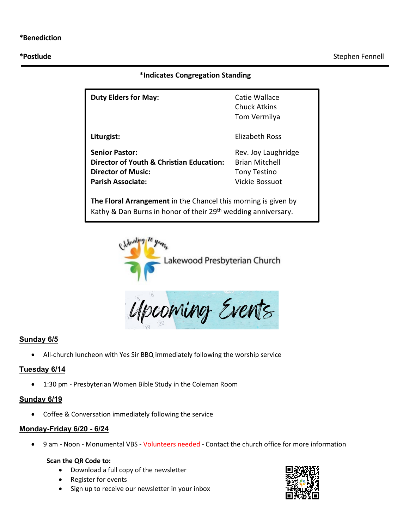#### **\*Indicates Congregation Standing**

| <b>Duty Elders for May:</b>                                                                                                                 | Catie Wallace<br>Chuck Atkins<br>Tom Vermilya                                         |  |  |  |
|---------------------------------------------------------------------------------------------------------------------------------------------|---------------------------------------------------------------------------------------|--|--|--|
| Liturgist:                                                                                                                                  | Elizabeth Ross                                                                        |  |  |  |
| <b>Senior Pastor:</b><br>Director of Youth & Christian Education:<br><b>Director of Music:</b><br><b>Parish Associate:</b>                  | Rev. Joy Laughridge<br><b>Brian Mitchell</b><br><b>Tony Testino</b><br>Vickie Bossuot |  |  |  |
| The Floral Arrangement in the Chancel this morning is given by<br>Kathy & Dan Burns in honor of their 29 <sup>th</sup> wedding anniversary. |                                                                                       |  |  |  |



Upcoming Events

### **Sunday 6/5**

• All-church luncheon with Yes Sir BBQ immediately following the worship service

### **Tuesday 6/14**

• 1:30 pm - Presbyterian Women Bible Study in the Coleman Room

#### **Sunday 6/19**

• Coffee & Conversation immediately following the service

#### **Monday-Friday 6/20 - 6/24**

• 9 am - Noon - Monumental VBS - Volunteers needed - Contact the church office for more information

#### **Scan the QR Code to:**

- Download a full copy of the newsletter
- Register for events
- Sign up to receive our newsletter in your inbox